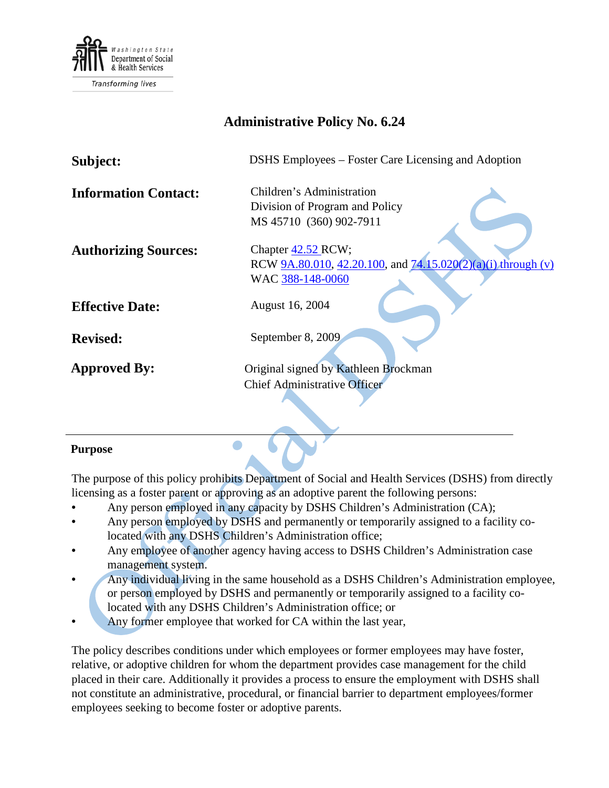

# **Administrative Policy No. 6.24**

| Subject:                    | DSHS Employees – Foster Care Licensing and Adoption          |
|-----------------------------|--------------------------------------------------------------|
| <b>Information Contact:</b> | Children's Administration                                    |
|                             | Division of Program and Policy                               |
|                             | MS 45710 (360) 902-7911                                      |
|                             |                                                              |
| <b>Authorizing Sources:</b> | Chapter 42.52 RCW;                                           |
|                             | RCW 9A.80.010, 42.20.100, and 74.15.020(2)(a)(i) through (v) |
|                             | WAC 388-148-0060                                             |
| <b>Effective Date:</b>      | August 16, 2004                                              |
| <b>Revised:</b>             | September 8, 2009                                            |
| <b>Approved By:</b>         | Original signed by Kathleen Brockman                         |
|                             | <b>Chief Administrative Officer</b>                          |
|                             |                                                              |

#### **Purpose**

The purpose of this policy prohibits Department of Social and Health Services (DSHS) from directly licensing as a foster parent or approving as an adoptive parent the following persons:

- Any person employed in any capacity by DSHS Children's Administration (CA);
- Any person employed by DSHS and permanently or temporarily assigned to a facility colocated with any DSHS Children's Administration office;
- Any employee of another agency having access to DSHS Children's Administration case management system.
- Any individual living in the same household as a DSHS Children's Administration employee, or person employed by DSHS and permanently or temporarily assigned to a facility colocated with any DSHS Children's Administration office; or
- Any former employee that worked for CA within the last year,

 $\bullet$ 

The policy describes conditions under which employees or former employees may have foster, relative, or adoptive children for whom the department provides case management for the child placed in their care. Additionally it provides a process to ensure the employment with DSHS shall not constitute an administrative, procedural, or financial barrier to department employees/former employees seeking to become foster or adoptive parents.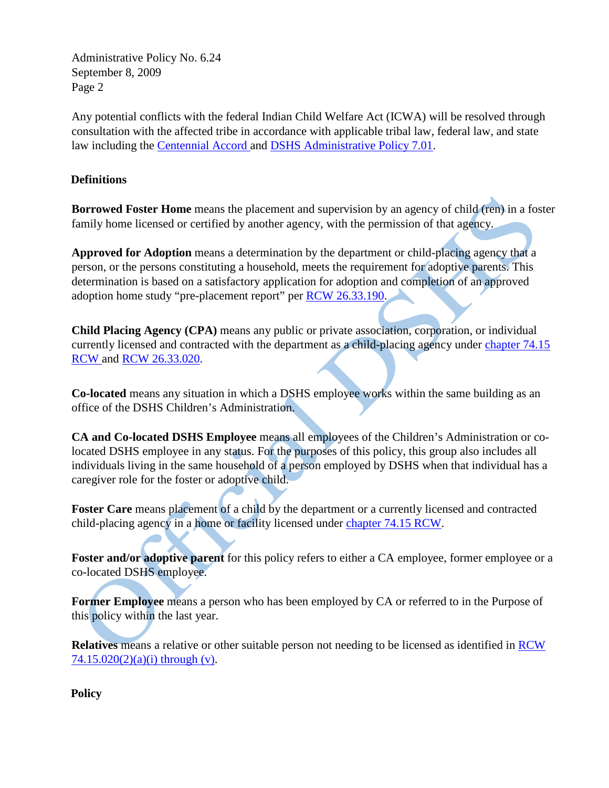Any potential conflicts with the federal Indian Child Welfare Act (ICWA) will be resolved through consultation with the affected tribe in accordance with applicable tribal law, federal law, and state law including the [Centennial Accord an](http://www.goia.wa.gov/Government-to-Government/Data/CentennialAccord.htm)d [DSHS Administrative Policy 7.01.](http://one.dshs.wa.lcl/Policies/Administrative/dshs-ap-07-01.pdf)

#### **Definitions**

**Borrowed Foster Home** means the placement and supervision by an agency of child (ren) in a foster family home licensed or certified by another agency, with the permission of that agency.

**Approved for Adoption** means a determination by the department or child-placing agency that a person, or the persons constituting a household, meets the requirement for adoptive parents. This determination is based on a satisfactory application for adoption and completion of an approved adoption home study "pre-placement report" per [RCW 26.33.190.](http://apps.leg.wa.gov/RCW/default.aspx?cite=26.33.190)

**Child Placing Agency (CPA)** means any public or private association, corporation, or individual currently licensed and contracted with the department as a child-placing agency under chapter 74.15 [RCW an](http://apps.leg.wa.gov/RCW/default.aspx?cite=74.15)d [RCW 26.33.020.](http://apps.leg.wa.gov/RCW/default.aspx?cite=26.33.020)

**Co-located** means any situation in which a DSHS employee works within the same building as an office of the DSHS Children's Administration.

**CA and Co-located DSHS Employee** means all employees of the Children's Administration or colocated DSHS employee in any status. For the purposes of this policy, this group also includes all individuals living in the same household of a person employed by DSHS when that individual has a caregiver role for the foster or adoptive child.

Foster Care means placement of a child by the department or a currently licensed and contracted child-placing agency in a home or facility licensed under [chapter 74.15 RCW.](http://apps.leg.wa.gov/RCW/default.aspx?cite=74.15)

**Foster and/or adoptive parent** for this policy refers to either a CA employee, former employee or a co-located DSHS employee.

**Former Employee** means a person who has been employed by CA or referred to in the Purpose of this policy within the last year.

**Relatives** means a relative or other suitable person not needing to be licensed as identified in [RCW](http://apps.leg.wa.gov/RCW/default.aspx?cite=74.15.020)   $74.15.020(2)(a)(i)$  through (v).

**Policy**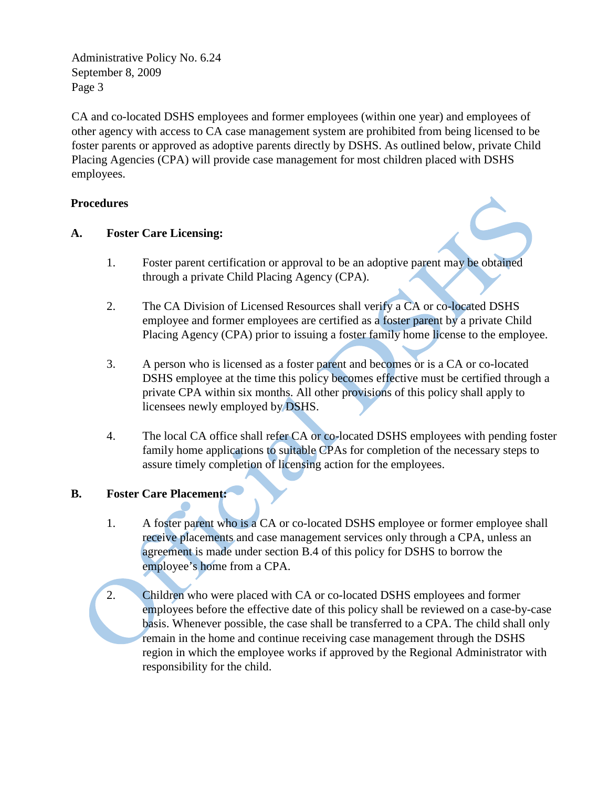CA and co-located DSHS employees and former employees (within one year) and employees of other agency with access to CA case management system are prohibited from being licensed to be foster parents or approved as adoptive parents directly by DSHS. As outlined below, private Child Placing Agencies (CPA) will provide case management for most children placed with DSHS employees.

#### **Procedures**

#### **A. Foster Care Licensing:**

- 1. Foster parent certification or approval to be an adoptive parent may be obtained through a private Child Placing Agency (CPA).
- 2. The CA Division of Licensed Resources shall verify a CA or co-located DSHS employee and former employees are certified as a foster parent by a private Child Placing Agency (CPA) prior to issuing a foster family home license to the employee.
- 3. A person who is licensed as a foster parent and becomes or is a CA or co-located DSHS employee at the time this policy becomes effective must be certified through a private CPA within six months. All other provisions of this policy shall apply to licensees newly employed by DSHS.
- 4. The local CA office shall refer CA or co-located DSHS employees with pending foster family home applications to suitable CPAs for completion of the necessary steps to assure timely completion of licensing action for the employees.

#### **B. Foster Care Placement:**

- 1. A foster parent who is a CA or co-located DSHS employee or former employee shall receive placements and case management services only through a CPA, unless an agreement is made under section B.4 of this policy for DSHS to borrow the employee's home from a CPA.
- 2. Children who were placed with CA or co-located DSHS employees and former employees before the effective date of this policy shall be reviewed on a case-by-case basis. Whenever possible, the case shall be transferred to a CPA. The child shall only remain in the home and continue receiving case management through the DSHS region in which the employee works if approved by the Regional Administrator with responsibility for the child.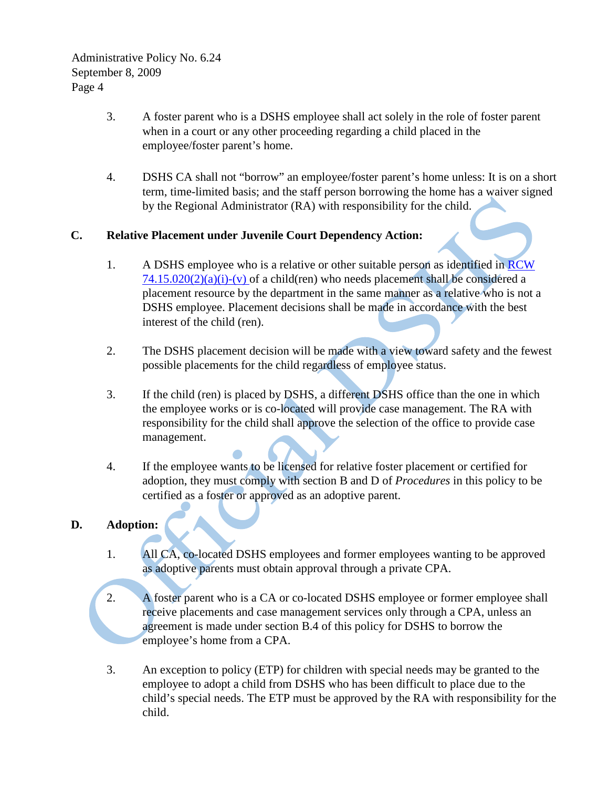- 3. A foster parent who is a DSHS employee shall act solely in the role of foster parent when in a court or any other proceeding regarding a child placed in the employee/foster parent's home.
- 4. DSHS CA shall not "borrow" an employee/foster parent's home unless: It is on a short term, time-limited basis; and the staff person borrowing the home has a waiver signed by the Regional Administrator (RA) with responsibility for the child.

#### **C. Relative Placement under Juvenile Court Dependency Action:**

- 1. A DSHS employee who is a relative or other suitable person as identified in RCW  $74.15.020(2)(a)(i)-(v)$  of a child(ren) who needs placement shall be considered a placement resource by the department in the same manner as a relative who is not a DSHS employee. Placement decisions shall be made in accordance with the best interest of the child (ren).
- 2. The DSHS placement decision will be made with a view toward safety and the fewest possible placements for the child regardless of employee status.
- 3. If the child (ren) is placed by DSHS, a different DSHS office than the one in which the employee works or is co-located will provide case management. The RA with responsibility for the child shall approve the selection of the office to provide case management.
- 4. If the employee wants to be licensed for relative foster placement or certified for adoption, they must comply with section B and D of *Procedures* in this policy to be certified as a foster or approved as an adoptive parent.

### **D. Adoption:**

- 1. All CA, co-located DSHS employees and former employees wanting to be approved as adoptive parents must obtain approval through a private CPA.
- 2. A foster parent who is a CA or co-located DSHS employee or former employee shall receive placements and case management services only through a CPA, unless an agreement is made under section B.4 of this policy for DSHS to borrow the employee's home from a CPA.
- 3. An exception to policy (ETP) for children with special needs may be granted to the employee to adopt a child from DSHS who has been difficult to place due to the child's special needs. The ETP must be approved by the RA with responsibility for the child.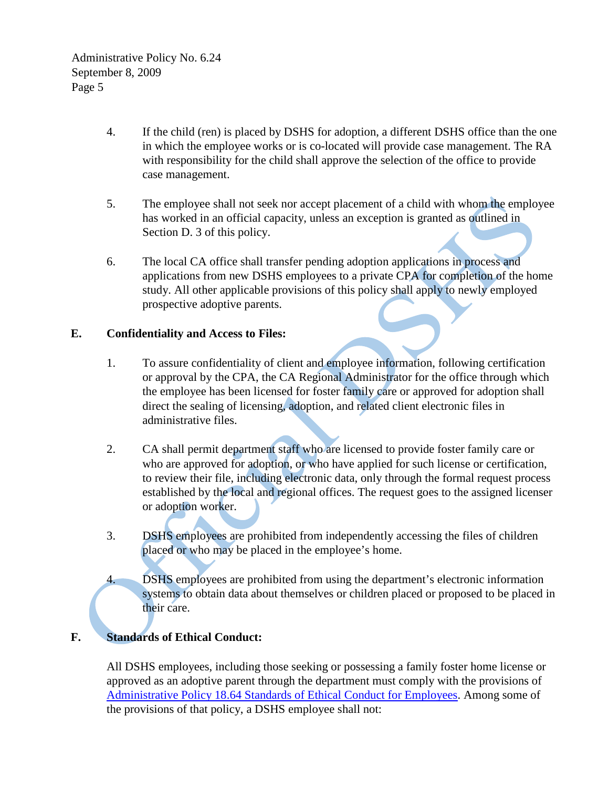- 4. If the child (ren) is placed by DSHS for adoption, a different DSHS office than the one in which the employee works or is co-located will provide case management. The RA with responsibility for the child shall approve the selection of the office to provide case management.
- 5. The employee shall not seek nor accept placement of a child with whom the employee has worked in an official capacity, unless an exception is granted as outlined in Section D. 3 of this policy.
- 6. The local CA office shall transfer pending adoption applications in process and applications from new DSHS employees to a private CPA for completion of the home study. All other applicable provisions of this policy shall apply to newly employed prospective adoptive parents.

#### **E. Confidentiality and Access to Files:**

- 1. To assure confidentiality of client and employee information, following certification or approval by the CPA, the CA Regional Administrator for the office through which the employee has been licensed for foster family care or approved for adoption shall direct the sealing of licensing, adoption, and related client electronic files in administrative files.
- 2. CA shall permit department staff who are licensed to provide foster family care or who are approved for adoption, or who have applied for such license or certification, to review their file, including electronic data, only through the formal request process established by the local and regional offices. The request goes to the assigned licenser or adoption worker.
- 3. DSHS employees are prohibited from independently accessing the files of children placed or who may be placed in the employee's home.

4. DSHS employees are prohibited from using the department's electronic information systems to obtain data about themselves or children placed or proposed to be placed in their care.

## **F. Standards of Ethical Conduct:**

All DSHS employees, including those seeking or possessing a family foster home license or approved as an adoptive parent through the department must comply with the provisions of [Administrative Policy 18.64 Standards of Ethical Conduct for Employees.](http://one.dshs.wa.lcl/Policies/Administrative/dshs-ap-18-64.pdf) Among some of the provisions of that policy, a DSHS employee shall not: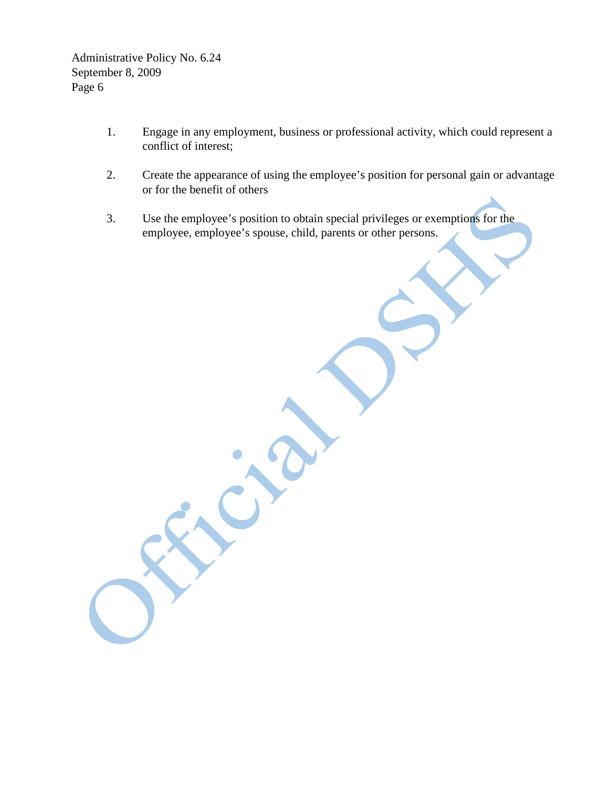- 1. Engage in any employment, business or professional activity, which could represent a conflict of interest;
- 2. Create the appearance of using the employee's position for personal gain or advantage or for the benefit of others
- 3. Use the employee's position to obtain special privileges or exemptions for the employee, employee's spouse, child, parents or other persons.